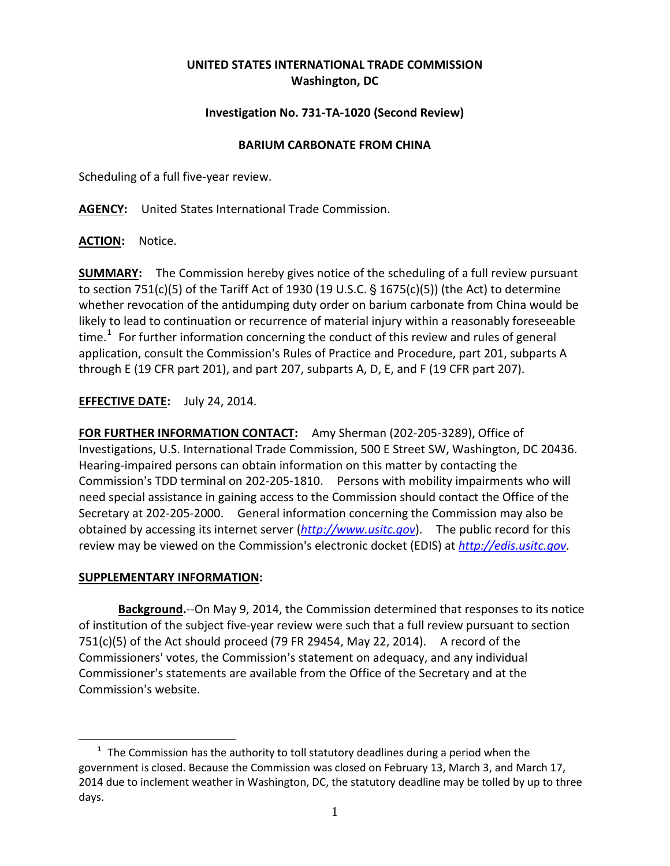## **UNITED STATES INTERNATIONAL TRADE COMMISSION Washington, DC**

## **Investigation No. 731-TA-1020 (Second Review)**

## **BARIUM CARBONATE FROM CHINA**

Scheduling of a full five-year review.

**AGENCY:** United States International Trade Commission.

**ACTION:** Notice.

**SUMMARY:** The Commission hereby gives notice of the scheduling of a full review pursuant to section 751(c)(5) of the Tariff Act of 1930 (19 U.S.C.  $\S$  1675(c)(5)) (the Act) to determine whether revocation of the antidumping duty order on barium carbonate from China would be likely to lead to continuation or recurrence of material injury within a reasonably foreseeable time.<sup>[1](#page-0-0)</sup> For further information concerning the conduct of this review and rules of general application, consult the Commission's Rules of Practice and Procedure, part 201, subparts A through E (19 CFR part 201), and part 207, subparts A, D, E, and F (19 CFR part 207).

**EFFECTIVE DATE:** July 24, 2014.

**FOR FURTHER INFORMATION CONTACT:** Amy Sherman (202-205-3289), Office of Investigations, U.S. International Trade Commission, 500 E Street SW, Washington, DC 20436. Hearing-impaired persons can obtain information on this matter by contacting the Commission's TDD terminal on 202-205-1810. Persons with mobility impairments who will need special assistance in gaining access to the Commission should contact the Office of the Secretary at 202-205-2000. General information concerning the Commission may also be obtained by accessing its internet server (*[http://www.usitc.gov](http://www.usitc.gov/)*). The public record for this review may be viewed on the Commission's electronic docket (EDIS) at *[http://edis.usitc.gov](http://edis.usitc.gov/)*.

## **SUPPLEMENTARY INFORMATION:**

 $\overline{a}$ 

**Background.**--On May 9, 2014, the Commission determined that responses to its notice of institution of the subject five-year review were such that a full review pursuant to section 751(c)(5) of the Act should proceed (79 FR 29454, May 22, 2014). A record of the Commissioners' votes, the Commission's statement on adequacy, and any individual Commissioner's statements are available from the Office of the Secretary and at the Commission's website.

<span id="page-0-0"></span> $1$  The Commission has the authority to toll statutory deadlines during a period when the government is closed. Because the Commission was closed on February 13, March 3, and March 17, 2014 due to inclement weather in Washington, DC, the statutory deadline may be tolled by up to three days.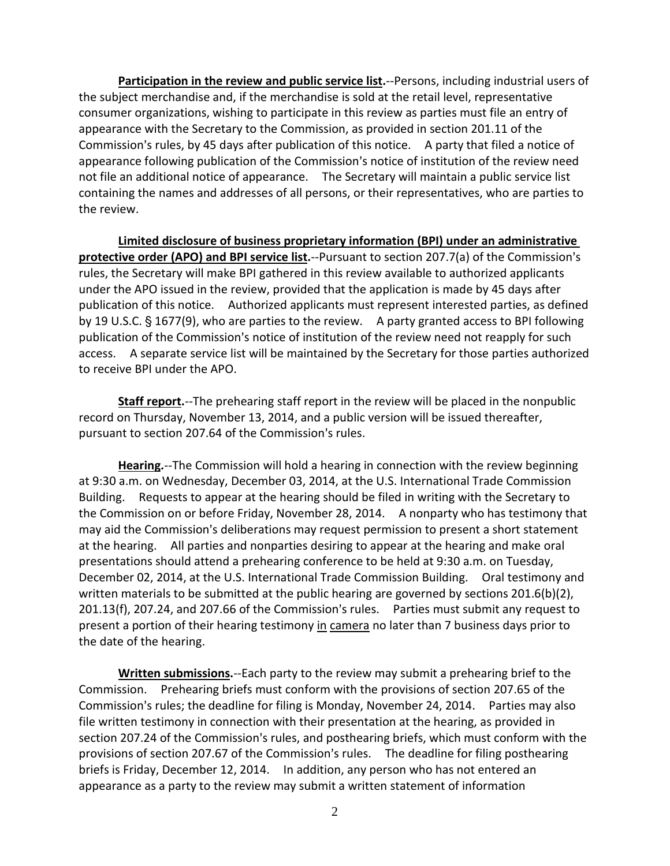**Participation in the review and public service list.**--Persons, including industrial users of the subject merchandise and, if the merchandise is sold at the retail level, representative consumer organizations, wishing to participate in this review as parties must file an entry of appearance with the Secretary to the Commission, as provided in section 201.11 of the Commission's rules, by 45 days after publication of this notice. A party that filed a notice of appearance following publication of the Commission's notice of institution of the review need not file an additional notice of appearance. The Secretary will maintain a public service list containing the names and addresses of all persons, or their representatives, who are parties to the review.

**Limited disclosure of business proprietary information (BPI) under an administrative protective order (APO) and BPI service list.**--Pursuant to section 207.7(a) of the Commission's rules, the Secretary will make BPI gathered in this review available to authorized applicants under the APO issued in the review, provided that the application is made by 45 days after publication of this notice. Authorized applicants must represent interested parties, as defined by 19 U.S.C.  $\frac{6}{5}$  1677(9), who are parties to the review. A party granted access to BPI following publication of the Commission's notice of institution of the review need not reapply for such access. A separate service list will be maintained by the Secretary for those parties authorized to receive BPI under the APO.

**Staff report.**--The prehearing staff report in the review will be placed in the nonpublic record on Thursday, November 13, 2014, and a public version will be issued thereafter, pursuant to section 207.64 of the Commission's rules.

**Hearing.**--The Commission will hold a hearing in connection with the review beginning at 9:30 a.m. on Wednesday, December 03, 2014, at the U.S. International Trade Commission Building. Requests to appear at the hearing should be filed in writing with the Secretary to the Commission on or before Friday, November 28, 2014. A nonparty who has testimony that may aid the Commission's deliberations may request permission to present a short statement at the hearing. All parties and nonparties desiring to appear at the hearing and make oral presentations should attend a prehearing conference to be held at 9:30 a.m. on Tuesday, December 02, 2014, at the U.S. International Trade Commission Building. Oral testimony and written materials to be submitted at the public hearing are governed by sections 201.6(b)(2),  $201.13(f)$ , 207.24, and 207.66 of the Commission's rules. Parties must submit any request to present a portion of their hearing testimony in camera no later than 7 business days prior to the date of the hearing.

**Written submissions.**--Each party to the review may submit a prehearing brief to the Commission. Prehearing briefs must conform with the provisions of section 207.65 of the Commission's rules; the deadline for filing is Monday, November 24, 2014. Parties may also file written testimony in connection with their presentation at the hearing, as provided in section 207.24 of the Commission's rules, and posthearing briefs, which must conform with the provisions of section 207.67 of the Commission's rules. The deadline for filing posthearing briefs is Friday, December 12, 2014. In addition, any person who has not entered an appearance as a party to the review may submit a written statement of information